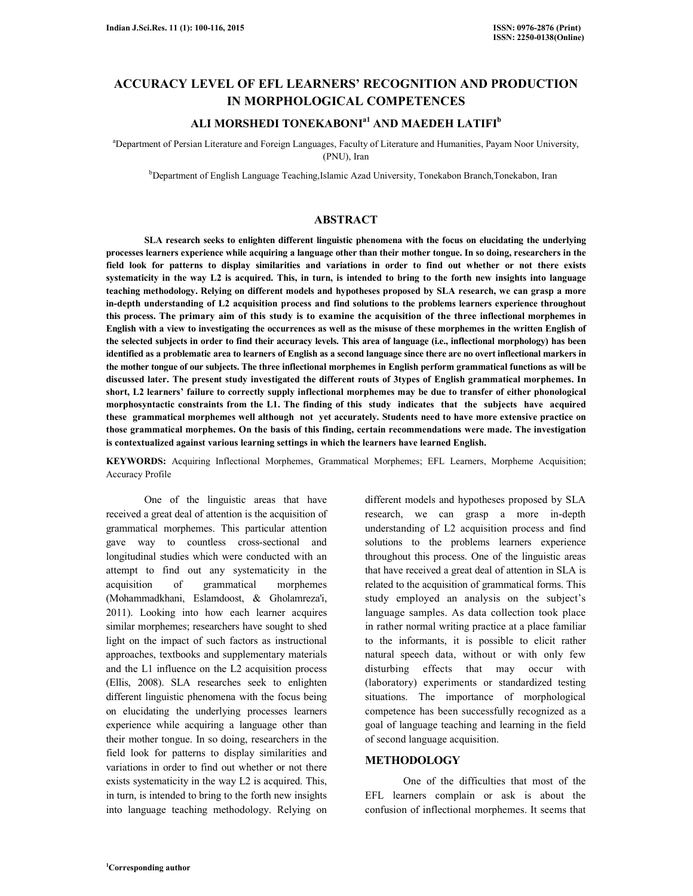# **ACCURACY LEVEL OF EFL LEARNERS' RECOGNITION AND PRODUCTION IN MORPHOLOGICAL COMPETENCES**

## **ALI MORSHEDI TONEKABONIa1 AND MAEDEH LATIFI<sup>b</sup>**

<sup>a</sup>Department of Persian Literature and Foreign Languages, Faculty of Literature and Humanities, Payam Noor University, (PNU), Iran

<sup>b</sup>Department of English Language Teaching, Islamic Azad University, Tonekabon Branch, Tonekabon, Iran

### **ABSTRACT**

 **SLA research seeks to enlighten different linguistic phenomena with the focus on elucidating the underlying processes learners experience while acquiring a language other than their mother tongue. In so doing, researchers in the field look for patterns to display similarities and variations in order to find out whether or not there exists systematicity in the way L2 is acquired. This, in turn, is intended to bring to the forth new insights into language teaching methodology. Relying on different models and hypotheses proposed by SLA research, we can grasp a more in-depth understanding of L2 acquisition process and find solutions to the problems learners experience throughout this process. The primary aim of this study is to examine the acquisition of the three inflectional morphemes in English with a view to investigating the occurrences as well as the misuse of these morphemes in the written English of the selected subjects in order to find their accuracy levels. This area of language (i.e., inflectional morphology) has been identified as a problematic area to learners of English as a second language since there are no overt inflectional markers in the mother tongue of our subjects. The three inflectional morphemes in English perform grammatical functions as will be discussed later. The present study investigated the different routs of 3types of English grammatical morphemes. In short, L2 learners' failure to correctly supply inflectional morphemes may be due to transfer of either phonological morphosyntactic constraints from the L1. The finding of this study indicates that the subjects have acquired these grammatical morphemes well although not yet accurately. Students need to have more extensive practice on those grammatical morphemes. On the basis of this finding, certain recommendations were made. The investigation is contextualized against various learning settings in which the learners have learned English.** 

**KEYWORDS:** Acquiring Inflectional Morphemes, Grammatical Morphemes; EFL Learners, Morpheme Acquisition; Accuracy Profile

 One of the linguistic areas that have received a great deal of attention is the acquisition of grammatical morphemes. This particular attention gave way to countless cross-sectional and longitudinal studies which were conducted with an attempt to find out any systematicity in the acquisition of grammatical morphemes (Mohammadkhani, Eslamdoost, & Gholamreza'i, 2011). Looking into how each learner acquires similar morphemes; researchers have sought to shed light on the impact of such factors as instructional approaches, textbooks and supplementary materials and the L1 influence on the L2 acquisition process (Ellis, 2008). SLA researches seek to enlighten different linguistic phenomena with the focus being on elucidating the underlying processes learners experience while acquiring a language other than their mother tongue. In so doing, researchers in the field look for patterns to display similarities and variations in order to find out whether or not there exists systematicity in the way L2 is acquired. This, in turn, is intended to bring to the forth new insights into language teaching methodology. Relying on

different models and hypotheses proposed by SLA research, we can grasp a more in-depth understanding of L2 acquisition process and find solutions to the problems learners experience throughout this process. One of the linguistic areas that have received a great deal of attention in SLA is related to the acquisition of grammatical forms. This study employed an analysis on the subject's language samples. As data collection took place in rather normal writing practice at a place familiar to the informants, it is possible to elicit rather natural speech data, without or with only few disturbing effects that may occur with (laboratory) experiments or standardized testing situations. The importance of morphological competence has been successfully recognized as a goal of language teaching and learning in the field of second language acquisition.

### **METHODOLOGY**

 One of the difficulties that most of the EFL learners complain or ask is about the confusion of inflectional morphemes. It seems that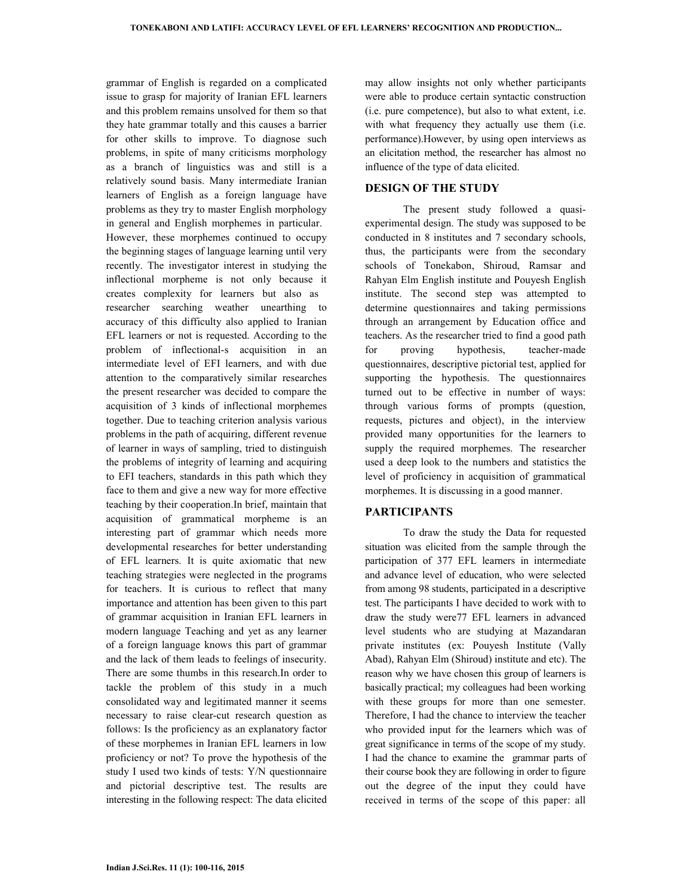grammar of English is regarded on a complicated issue to grasp for majority of Iranian EFL learners and this problem remains unsolved for them so that they hate grammar totally and this causes a barrier for other skills to improve. To diagnose such problems, in spite of many criticisms morphology as a branch of linguistics was and still is a relatively sound basis. Many intermediate Iranian learners of English as a foreign language have problems as they try to master English morphology in general and English morphemes in particular. However, these morphemes continued to occupy the beginning stages of language learning until very recently. The investigator interest in studying the inflectional morpheme is not only because it creates complexity for learners but also as researcher searching weather unearthing to accuracy of this difficulty also applied to Iranian EFL learners or not is requested. According to the problem of inflectional-s acquisition in an intermediate level of EFI learners, and with due attention to the comparatively similar researches the present researcher was decided to compare the acquisition of 3 kinds of inflectional morphemes together. Due to teaching criterion analysis various problems in the path of acquiring, different revenue of learner in ways of sampling, tried to distinguish the problems of integrity of learning and acquiring to EFI teachers, standards in this path which they face to them and give a new way for more effective teaching by their cooperation.In brief, maintain that acquisition of grammatical morpheme is an interesting part of grammar which needs more developmental researches for better understanding of EFL learners. It is quite axiomatic that new teaching strategies were neglected in the programs for teachers. It is curious to reflect that many importance and attention has been given to this part of grammar acquisition in Iranian EFL learners in modern language Teaching and yet as any learner of a foreign language knows this part of grammar and the lack of them leads to feelings of insecurity. There are some thumbs in this research.In order to tackle the problem of this study in a much consolidated way and legitimated manner it seems necessary to raise clear-cut research question as follows: Is the proficiency as an explanatory factor of these morphemes in Iranian EFL learners in low proficiency or not? To prove the hypothesis of the study I used two kinds of tests: Y/N questionnaire and pictorial descriptive test. The results are interesting in the following respect: The data elicited

may allow insights not only whether participants were able to produce certain syntactic construction (i.e. pure competence), but also to what extent, i.e. with what frequency they actually use them (i.e. performance).However, by using open interviews as an elicitation method, the researcher has almost no influence of the type of data elicited.

## **DESIGN OF THE STUDY**

 The present study followed a quasiexperimental design. The study was supposed to be conducted in 8 institutes and 7 secondary schools, thus, the participants were from the secondary schools of Tonekabon, Shiroud, Ramsar and Rahyan Elm English institute and Pouyesh English institute. The second step was attempted to determine questionnaires and taking permissions through an arrangement by Education office and teachers. As the researcher tried to find a good path for proving hypothesis, teacher-made questionnaires, descriptive pictorial test, applied for supporting the hypothesis. The questionnaires turned out to be effective in number of ways: through various forms of prompts (question, requests, pictures and object), in the interview provided many opportunities for the learners to supply the required morphemes. The researcher used a deep look to the numbers and statistics the level of proficiency in acquisition of grammatical morphemes. It is discussing in a good manner.

### **PARTICIPANTS**

 To draw the study the Data for requested situation was elicited from the sample through the participation of 377 EFL learners in intermediate and advance level of education, who were selected from among 98 students, participated in a descriptive test. The participants I have decided to work with to draw the study were77 EFL learners in advanced level students who are studying at Mazandaran private institutes (ex: Pouyesh Institute (Vally Abad), Rahyan Elm (Shiroud) institute and etc). The reason why we have chosen this group of learners is basically practical; my colleagues had been working with these groups for more than one semester. Therefore, I had the chance to interview the teacher who provided input for the learners which was of great significance in terms of the scope of my study. I had the chance to examine the grammar parts of their course book they are following in order to figure out the degree of the input they could have received in terms of the scope of this paper: all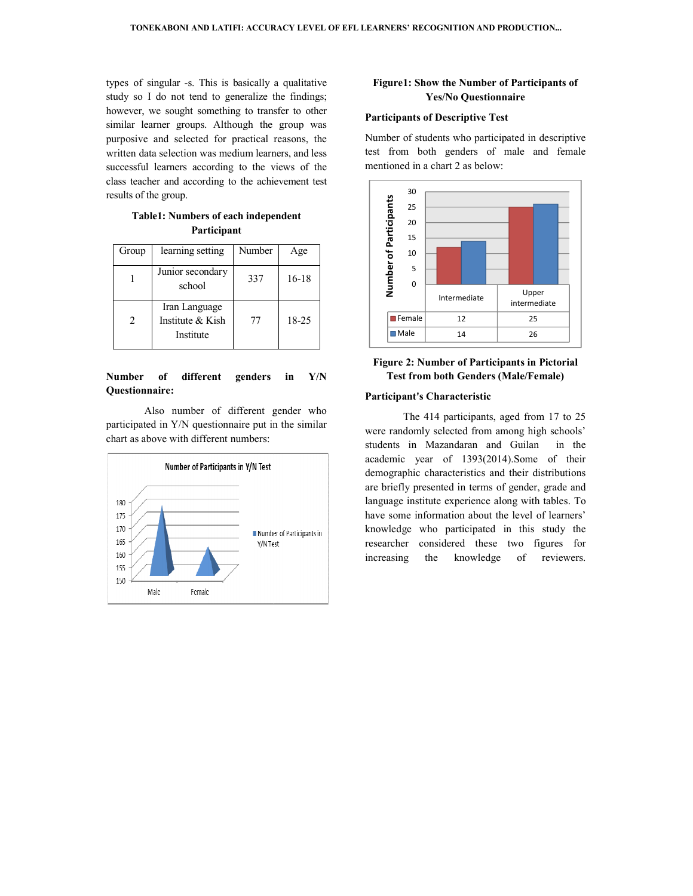types of singular -s. This is basically a qualitative study so I do not tend to generalize the findings; however, we sought something to transfer to other similar learner groups. Although the group was purposive and selected for practical reasons, the written data selection was medium learners, and less successful learners according to the views of the similar learner groups. Although the group was<br>purposive and selected for practical reasons, the<br>written data selection was medium learners, and less<br>successful learners according to the views of the<br>class teacher and acco results of the group.

**Table1: Numbers of each independent 1: Numbers independent Participant** 

| Group          | learning setting                               | Number | Age     |
|----------------|------------------------------------------------|--------|---------|
|                | Junior secondary<br>school                     | 337    | $16-18$ |
| $\mathfrak{D}$ | Iran Language<br>Institute & Kish<br>Institute | 77     | 18-25   |

### Number of different genders in Y/N **Questionnaire:**

Also number of different gender who participated in Y/N questionnaire put in the similar chart as above with different numbers:



## **Yes/No Questionnaire Figure1: Show the Number of Participants of**

### **Participants of Descriptive Test**

Number of students who participated in descriptive test from both genders of male and female mentioned in a chart 2 as below:



## **Figure 2: Number of Participants in Pictorial Test from both Genders (Male/Female)**

### **Participant's Characteristic**

The 414 participants, aged from 17 to 25 were randomly selected from among high schools' students in Mazandaran and Guilan in the academic year of 1393(2014).Some of their demographic characteristics and their distributions are briefly presented in terms of gender, grade and language institute experience along with tables. To have some information about the level of learners' knowledge who participated in this study the researcher considered these two figures for increasing the knowledge of reviewers. rticipants, aged from 17 to 25<br>ted from among high schools'<br>daran and Guilan in the<br>1393(2014).Some of their<br>eristics and their distributions<br>in terms of gender, grade and<br>perience along with tables. To hese Upper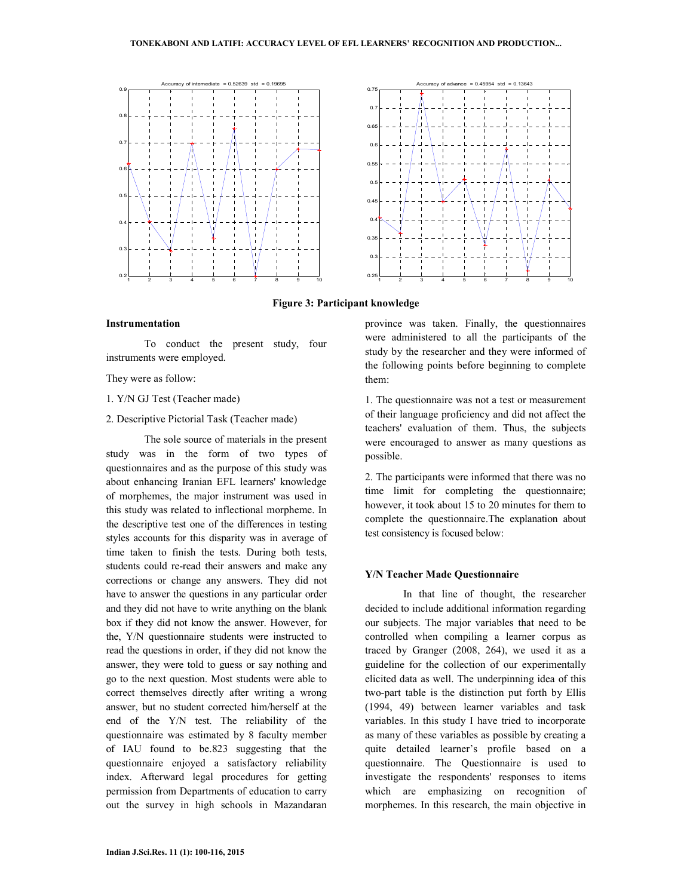

**Figure 3: Participant knowledge** 

## **Instrumentation**

 To conduct the present study, four instruments were employed.

They were as follow:

- 1. Y/N GJ Test (Teacher made)
- 2. Descriptive Pictorial Task (Teacher made)

 The sole source of materials in the present study was in the form of two types of questionnaires and as the purpose of this study was about enhancing Iranian EFL learners' knowledge of morphemes, the major instrument was used in this study was related to inflectional morpheme. In the descriptive test one of the differences in testing styles accounts for this disparity was in average of time taken to finish the tests. During both tests, students could re-read their answers and make any corrections or change any answers. They did not have to answer the questions in any particular order and they did not have to write anything on the blank box if they did not know the answer. However, for the, Y/N questionnaire students were instructed to read the questions in order, if they did not know the answer, they were told to guess or say nothing and go to the next question. Most students were able to correct themselves directly after writing a wrong answer, but no student corrected him/herself at the end of the Y/N test. The reliability of the questionnaire was estimated by 8 faculty member of IAU found to be.823 suggesting that the questionnaire enjoyed a satisfactory reliability index. Afterward legal procedures for getting permission from Departments of education to carry out the survey in high schools in Mazandaran province was taken. Finally, the questionnaires were administered to all the participants of the study by the researcher and they were informed of the following points before beginning to complete them:

1. The questionnaire was not a test or measurement of their language proficiency and did not affect the teachers' evaluation of them. Thus, the subjects were encouraged to answer as many questions as possible.

2. The participants were informed that there was no time limit for completing the questionnaire; however, it took about 15 to 20 minutes for them to complete the questionnaire.The explanation about test consistency is focused below:

#### **Y/N Teacher Made Questionnaire**

 In that line of thought, the researcher decided to include additional information regarding our subjects. The major variables that need to be controlled when compiling a learner corpus as traced by Granger (2008, 264), we used it as a guideline for the collection of our experimentally elicited data as well. The underpinning idea of this two-part table is the distinction put forth by Ellis (1994, 49) between learner variables and task variables. In this study I have tried to incorporate as many of these variables as possible by creating a quite detailed learner's profile based on a questionnaire. The Questionnaire is used to investigate the respondents' responses to items which are emphasizing on recognition of morphemes. In this research, the main objective in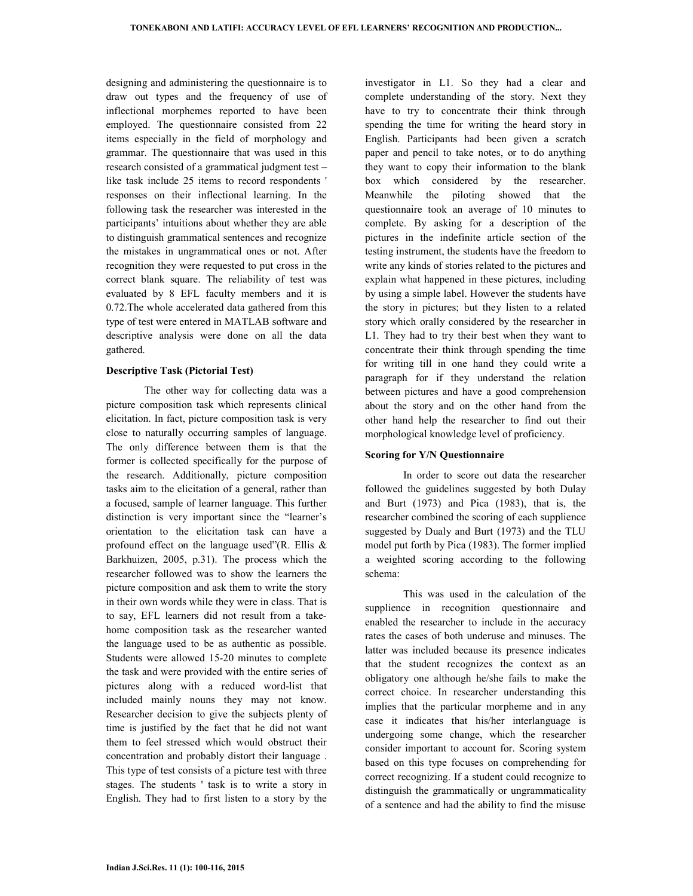designing and administering the questionnaire is to draw out types and the frequency of use of inflectional morphemes reported to have been employed. The questionnaire consisted from 22 items especially in the field of morphology and grammar. The questionnaire that was used in this research consisted of a grammatical judgment test – like task include 25 items to record respondents ' responses on their inflectional learning. In the following task the researcher was interested in the participants' intuitions about whether they are able to distinguish grammatical sentences and recognize the mistakes in ungrammatical ones or not. After recognition they were requested to put cross in the correct blank square. The reliability of test was evaluated by 8 EFL faculty members and it is 0.72.The whole accelerated data gathered from this type of test were entered in MATLAB software and descriptive analysis were done on all the data gathered.

### **Descriptive Task (Pictorial Test)**

 The other way for collecting data was a picture composition task which represents clinical elicitation. In fact, picture composition task is very close to naturally occurring samples of language. The only difference between them is that the former is collected specifically for the purpose of the research. Additionally, picture composition tasks aim to the elicitation of a general, rather than a focused, sample of learner language. This further distinction is very important since the "learner's orientation to the elicitation task can have a profound effect on the language used"(R. Ellis  $\&$ Barkhuizen, 2005, p.31). The process which the researcher followed was to show the learners the picture composition and ask them to write the story in their own words while they were in class. That is to say, EFL learners did not result from a takehome composition task as the researcher wanted the language used to be as authentic as possible. Students were allowed 15-20 minutes to complete the task and were provided with the entire series of pictures along with a reduced word-list that included mainly nouns they may not know. Researcher decision to give the subjects plenty of time is justified by the fact that he did not want them to feel stressed which would obstruct their concentration and probably distort their language . This type of test consists of a picture test with three stages. The students ' task is to write a story in English. They had to first listen to a story by the

investigator in L1. So they had a clear and complete understanding of the story. Next they have to try to concentrate their think through spending the time for writing the heard story in English. Participants had been given a scratch paper and pencil to take notes, or to do anything they want to copy their information to the blank box which considered by the researcher. Meanwhile the piloting showed that the questionnaire took an average of 10 minutes to complete. By asking for a description of the pictures in the indefinite article section of the testing instrument, the students have the freedom to write any kinds of stories related to the pictures and explain what happened in these pictures, including by using a simple label. However the students have the story in pictures; but they listen to a related story which orally considered by the researcher in L1. They had to try their best when they want to concentrate their think through spending the time for writing till in one hand they could write a paragraph for if they understand the relation between pictures and have a good comprehension about the story and on the other hand from the other hand help the researcher to find out their morphological knowledge level of proficiency.

### **Scoring for Y/N Questionnaire**

 In order to score out data the researcher followed the guidelines suggested by both Dulay and Burt (1973) and Pica (1983), that is, the researcher combined the scoring of each supplience suggested by Dualy and Burt (1973) and the TLU model put forth by Pica (1983). The former implied a weighted scoring according to the following schema:

 This was used in the calculation of the supplience in recognition questionnaire and enabled the researcher to include in the accuracy rates the cases of both underuse and minuses. The latter was included because its presence indicates that the student recognizes the context as an obligatory one although he/she fails to make the correct choice. In researcher understanding this implies that the particular morpheme and in any case it indicates that his/her interlanguage is undergoing some change, which the researcher consider important to account for. Scoring system based on this type focuses on comprehending for correct recognizing. If a student could recognize to distinguish the grammatically or ungrammaticality of a sentence and had the ability to find the misuse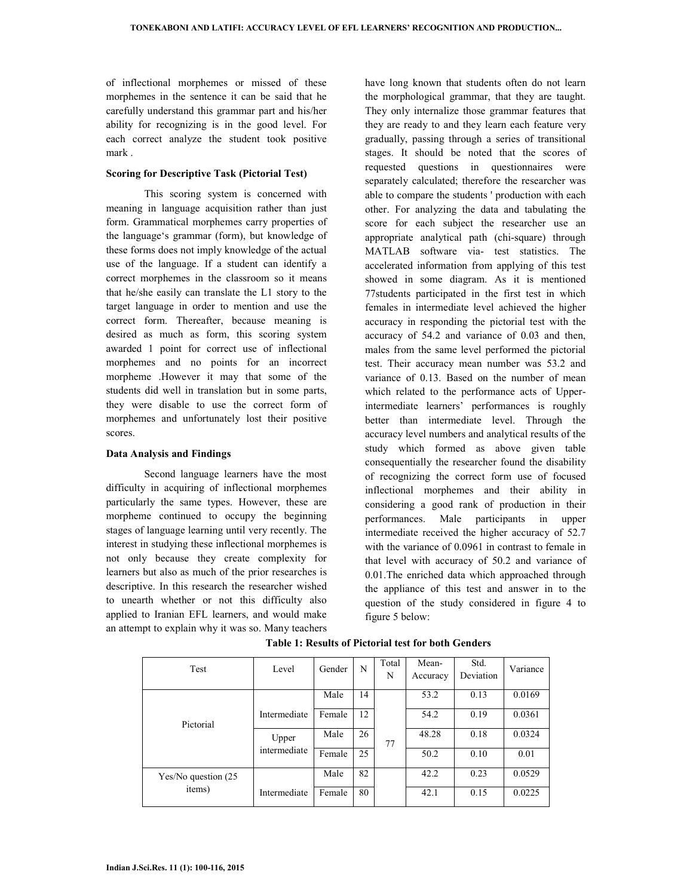of inflectional morphemes or missed of these morphemes in the sentence it can be said that he carefully understand this grammar part and his/her ability for recognizing is in the good level. For each correct analyze the student took positive mark .

### **Scoring for Descriptive Task (Pictorial Test)**

 This scoring system is concerned with meaning in language acquisition rather than just form. Grammatical morphemes carry properties of the language's grammar (form), but knowledge of these forms does not imply knowledge of the actual use of the language. If a student can identify a correct morphemes in the classroom so it means that he/she easily can translate the L1 story to the target language in order to mention and use the correct form. Thereafter, because meaning is desired as much as form, this scoring system awarded 1 point for correct use of inflectional morphemes and no points for an incorrect morpheme .However it may that some of the students did well in translation but in some parts, they were disable to use the correct form of morphemes and unfortunately lost their positive scores.

### **Data Analysis and Findings**

 Second language learners have the most difficulty in acquiring of inflectional morphemes particularly the same types. However, these are morpheme continued to occupy the beginning stages of language learning until very recently. The interest in studying these inflectional morphemes is not only because they create complexity for learners but also as much of the prior researches is descriptive. In this research the researcher wished to unearth whether or not this difficulty also applied to Iranian EFL learners, and would make an attempt to explain why it was so. Many teachers have long known that students often do not learn the morphological grammar, that they are taught. They only internalize those grammar features that they are ready to and they learn each feature very gradually, passing through a series of transitional stages. It should be noted that the scores of requested questions in questionnaires were separately calculated; therefore the researcher was able to compare the students ' production with each other. For analyzing the data and tabulating the score for each subject the researcher use an appropriate analytical path (chi-square) through MATLAB software via- test statistics. The accelerated information from applying of this test showed in some diagram. As it is mentioned 77students participated in the first test in which females in intermediate level achieved the higher accuracy in responding the pictorial test with the accuracy of 54.2 and variance of 0.03 and then, males from the same level performed the pictorial test. Their accuracy mean number was 53.2 and variance of 0.13. Based on the number of mean which related to the performance acts of Upperintermediate learners' performances is roughly better than intermediate level. Through the accuracy level numbers and analytical results of the study which formed as above given table consequentially the researcher found the disability of recognizing the correct form use of focused inflectional morphemes and their ability in considering a good rank of production in their performances. Male participants in upper intermediate received the higher accuracy of 52.7 with the variance of 0.0961 in contrast to female in that level with accuracy of 50.2 and variance of 0.01.The enriched data which approached through the appliance of this test and answer in to the question of the study considered in figure 4 to figure 5 below:

| Test                 | Level        | Gender | N  | Total<br>N | Mean-<br>Accuracy | Std.<br>Deviation | Variance |
|----------------------|--------------|--------|----|------------|-------------------|-------------------|----------|
|                      |              | Male   | 14 |            | 53.2              | 0.13              | 0.0169   |
| Pictorial            | Intermediate | Female | 12 |            | 54.2              | 0.19              | 0.0361   |
|                      | Upper        | Male   | 26 | 77         | 48.28             | 0.18              | 0.0324   |
|                      | intermediate | Female | 25 |            | 50.2              | 0.10              | 0.01     |
| Yes/No question (25) |              | Male   | 82 |            | 42.2              | 0.23              | 0.0529   |
| items)               | Intermediate | Female | 80 |            | 42.1              | 0.15              | 0.0225   |

 **Table 1: Results of Pictorial test for both Genders**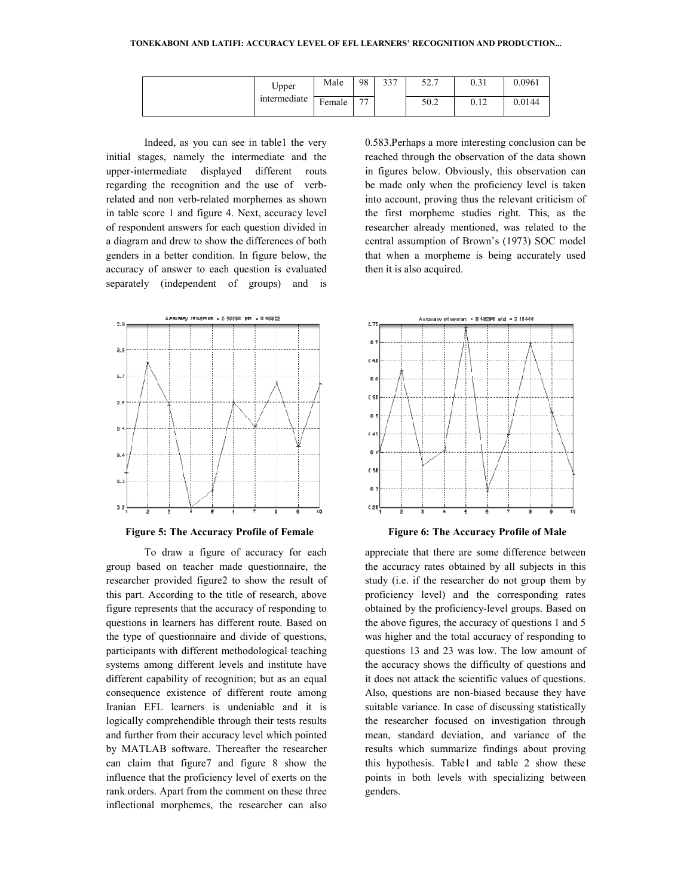| Upper        | Male                                                 | 98             | 227<br>ر ر | $\epsilon$ $\sim$ $\tau$<br>ا . د ب | 0.31          | 0.0961 |
|--------------|------------------------------------------------------|----------------|------------|-------------------------------------|---------------|--------|
| intermediate | <b>Contract Contract Contract Contract</b><br>Female | $\overline{a}$ |            | 50.2                                | 0.12<br>∪. I∠ | 0.0144 |

Indeed, as you can see in table1 the very initial stages, namely the intermediate and the upper-intermediate displayed different routs initial stages, namely the intermediate and the upper-intermediate displayed different routs<br>regarding the recognition and the use of verbrelated and non verb-related morphemes as shown in table score 1 and figure 4. Next, accuracy level of respondent answers for each question divided in a diagram and drew to show the differences of both genders in a better condition. In figure below, the accuracy of answer to each question is evaluated separately (independent of groups) and is



**Figure 5: The Accuracy Profile of Female** 

To draw a figure of accuracy for each To draw a figure of accuracy for each<br>group based on teacher made questionnaire, the researcher provided figure2 to show the result of researcher provided figure2 to show the result of this part. According to the title of research, above figure represents that the accuracy of responding to questions in learners has different route. Based on the type of questionnaire and divide of questions, participants with different methodological teaching systems among different levels and institute have different capability of recognition; but as an equal consequence existence of different route among Iranian EFL learners is undeniable and it is logically comprehendible through their tests results and further from their accuracy level which pointed by MATLAB software. Thereafter the researcher can claim that figure7 and figure 8 show the influence that the proficiency level of exerts on the rank orders. Apart from the comment on these three inflectional morphemes, the researcher can also accuracy of responding to<br>s different route. Based on<br>e and divide of questions,<br>the methodological teaching<br>t levels and institute have<br>ccognition; but as an equal<br>of different route among<br>is undeniable and it is<br>e throug

Indeed, as you can see in table1 the very 0.583.Perhaps a more interesting conclusion can be trages, namely the intermediate and the reached through the observation of the data shown in figures below. Obviously, this obser reached through the observation of the data shown in figures below. Obviously, this observation can be made only when the proficiency level is taken into account, proving thus the relevant criticism of the first morpheme studies right. This, as the researcher already mentioned, was related to the central assumption of Brown's (1973) SOC model that when a morpheme is being accurately used then it is also acquired. Perhaps a more interesting conclusion can be<br>d through the observation of the data shown<br>ures below. Obviously, this observation can<br>de only when the proficiency level is taken<br>ccount, proving thus the relevant criticism o



**Figure 6: The Accuracy Profile of Male** 

for each appreciate that there are some difference between<br>aire, the the accuracy rates obtained by all subjects in this<br>result of study (i.e. if the researcher do not group them by<br>proficiency level) and the corresponding the accuracy rates obtained by all subjects in this study (i.e. if the researcher do not group them by proficiency level) and the corresponding rates obtained by the proficiency-level groups. Based on the above figures, the accuracy of questions 1 and 5 was higher and the total accuracy of responding to questions 13 and 23 was low. The low amount of the accuracy shows the difficulty of questions and it does not attack the scientific values of questions. Also, questions are non-biased because they have suitable variance. In case of discussing statistically the researcher focused on investigation through mean, standard deviation, and variance of the results which summarize findings about proving this hypothesis. Table1 and table 2 show these points in both levels with specializing between between genders. erence between<br>subjects in this<br>group them by ficiency-level groups. Based on<br>e accuracy of questions 1 and 5<br>total accuracy of responding to<br>3 was low. The low amount of<br>the difficulty of questions and<br>e scientific values of questions.<br>non-biased because they have<br>ac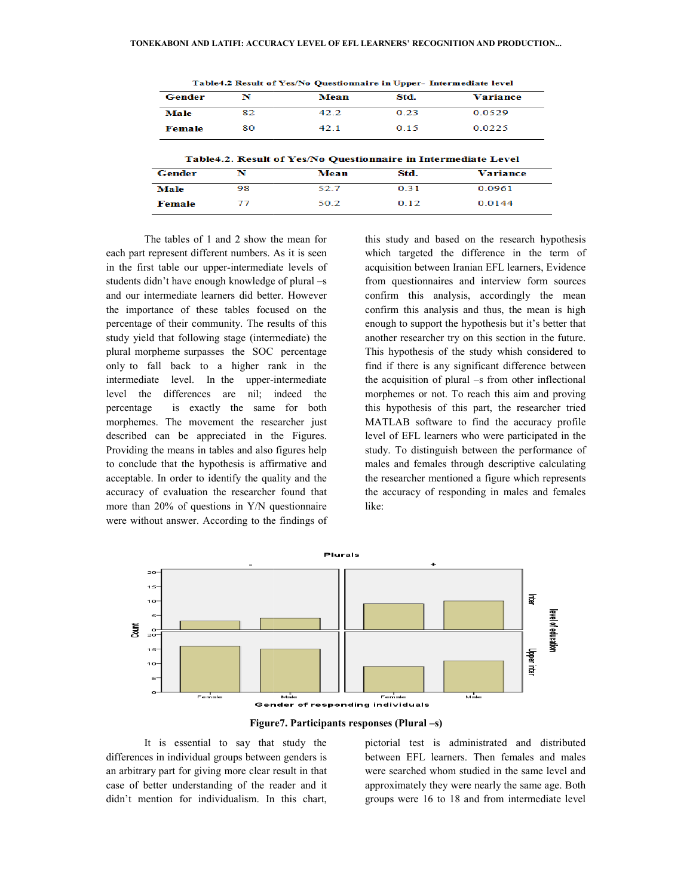| Gender        | N  | Mean                                                           | Std. | Variance                  |
|---------------|----|----------------------------------------------------------------|------|---------------------------|
| Male          | 82 | 42.2                                                           | 0.23 | 0.0529                    |
| <b>Female</b> | 80 | 42.1                                                           | 0.15 | 0.0225                    |
|               |    |                                                                |      |                           |
|               |    | Table4.2. Result of Yes/No Questionnaire in Intermediate Level |      |                           |
| Gender        | N  | Mean                                                           | Std. |                           |
| Male          | 98 | 52.7                                                           | 0.31 | <b>Variance</b><br>0.0961 |

Table4.2 Result of Yes/No Questionnaire in Upper- Intermediate level

 The tables of 1 and 2 show the mean for each part represent different numbers. As it is seen in the first table our upper-intermediate levels of students didn't have enough knowledge of plural and our intermediate learners did better. However the importance of these tables focused on the percentage of their community. The results of this study yield that following stage (intermediate) the plural morpheme surpasses the SOC percentage only to fall back to a higher rank in the intermediate level. In the upper-intermediate level the differences are nil; indeed the percentage is exactly the same for both morphemes. The movement the researcher just described can be appreciated in the Figures. Providing the means in tables and also figures to conclude that the hypothesis is affirmative and acceptable. In order to identify the quality and the accuracy of evaluation the researcher found that more than 20% of questions in Y/N questionnaire were without answer. According to the findings of numbers. As it is seen<br>intermediate levels of<br>knowledge of plural –s intermediate learners did better. However<br>portance of these tables focused on the<br>age of their community. The results of this<br>ield that following stage (intermediate) the<br>norpheme surpasses the SOC percentage<br>fall back to

Mow the mean for this study and based on the research hypothesis<br>thers. As it is seen which targeted the difference in the term of<br>acquisition between Iraina IET. learners, Evidence<br>dege of plural –s from questionnaires an which targeted the difference in the term of acquisition between Iranian EFL learners, Evidence from questionnaires and interview form sources confirm this analysis, accordingly the mean confirm this analysis and thus, the mean is high enough to support the hypothesis but it's better that another researcher try on this section in the future. This hypothesis of the study whish considered to find if there is any significant difference between the acquisition of plural –s from other inflectional morphemes or not. To reach this aim and proving this hypothesis of this part, the researcher tried MATLAB software to find the accuracy profile level of EFL learners who were participated in the study. To distinguish between the performance of males and females through descriptive calculating the researcher mentioned a figure which represents the accuracy of responding in males and females like: this study and based on the research hypothesis<br>which targeted the difference in the term of<br>acquisition between Iranian EFL learners, Evidence<br>from questionnaires and interview form sources<br>confirm this analysis, accordin



**Figure Figure7. Participants responses (Plural –s)** 

 It is essential to say that study the differences in individual groups between genders is an arbitrary part for giving more clear result in that case of better understanding of the reader and it didn't mention for individualism. In this chart,

It is essential to say that study the pictorial test is administrated and distributed<br>
es in individual groups between genders is<br>
ary part for giving more clear result in that<br>
better understanding of the reader and it<br>
a between EFL learners. Then females and males were searched whom studied in the same level and approximately they were nearly the same age. Both groups were 16 to 18 and from intermediate level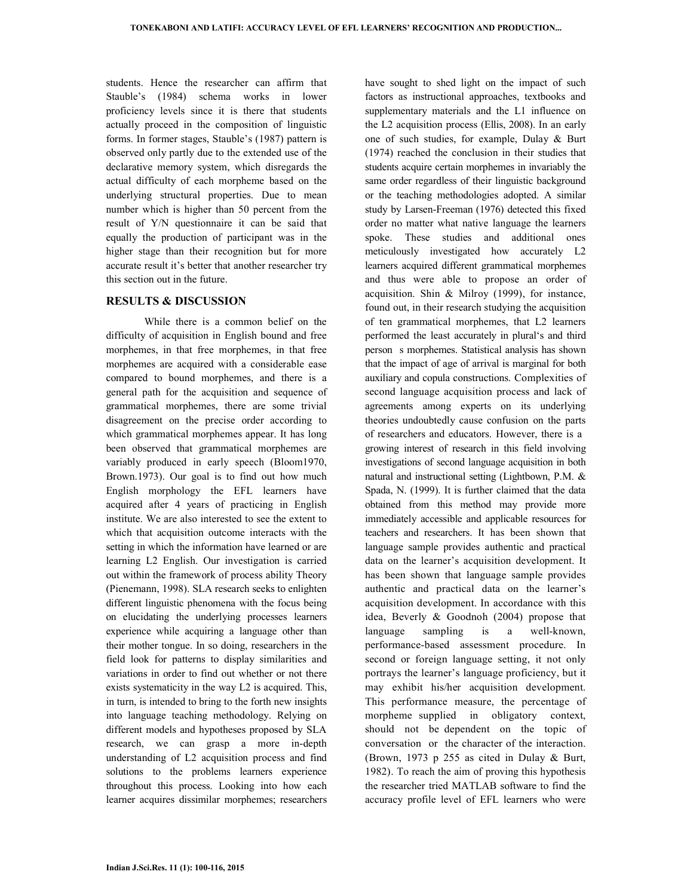students. Hence the researcher can affirm that Stauble's (1984) schema works in lower proficiency levels since it is there that students actually proceed in the composition of linguistic forms. In former stages, Stauble's (1987) pattern is observed only partly due to the extended use of the declarative memory system, which disregards the actual difficulty of each morpheme based on the underlying structural properties. Due to mean number which is higher than 50 percent from the result of Y/N questionnaire it can be said that equally the production of participant was in the higher stage than their recognition but for more accurate result it's better that another researcher try this section out in the future.

### **RESULTS & DISCUSSION**

 While there is a common belief on the difficulty of acquisition in English bound and free morphemes, in that free morphemes, in that free morphemes are acquired with a considerable ease compared to bound morphemes, and there is a general path for the acquisition and sequence of grammatical morphemes, there are some trivial disagreement on the precise order according to which grammatical morphemes appear. It has long been observed that grammatical morphemes are variably produced in early speech (Bloom1970, Brown.1973). Our goal is to find out how much English morphology the EFL learners have acquired after 4 years of practicing in English institute. We are also interested to see the extent to which that acquisition outcome interacts with the setting in which the information have learned or are learning L2 English. Our investigation is carried out within the framework of process ability Theory (Pienemann, 1998). SLA research seeks to enlighten different linguistic phenomena with the focus being on elucidating the underlying processes learners experience while acquiring a language other than their mother tongue. In so doing, researchers in the field look for patterns to display similarities and variations in order to find out whether or not there exists systematicity in the way L2 is acquired. This, in turn, is intended to bring to the forth new insights into language teaching methodology. Relying on different models and hypotheses proposed by SLA research, we can grasp a more in-depth understanding of L2 acquisition process and find solutions to the problems learners experience throughout this process. Looking into how each learner acquires dissimilar morphemes; researchers

have sought to shed light on the impact of such factors as instructional approaches, textbooks and supplementary materials and the L1 influence on the L2 acquisition process (Ellis, 2008). In an early one of such studies, for example, Dulay & Burt (1974) reached the conclusion in their studies that students acquire certain morphemes in invariably the same order regardless of their linguistic background or the teaching methodologies adopted. A similar study by Larsen-Freeman (1976) detected this fixed order no matter what native language the learners spoke. These studies and additional ones meticulously investigated how accurately L2 learners acquired different grammatical morphemes and thus were able to propose an order of acquisition. Shin & Milroy (1999), for instance, found out, in their research studying the acquisition of ten grammatical morphemes, that L2 learners performed the least accurately in plural's and third person s morphemes. Statistical analysis has shown that the impact of age of arrival is marginal for both auxiliary and copula constructions. Complexities of second language acquisition process and lack of agreements among experts on its underlying theories undoubtedly cause confusion on the parts of researchers and educators. However, there is a growing interest of research in this field involving investigations of second language acquisition in both natural and instructional setting (Lightbown, P.M. & Spada, N. (1999). It is further claimed that the data obtained from this method may provide more immediately accessible and applicable resources for teachers and researchers. It has been shown that language sample provides authentic and practical data on the learner's acquisition development. It has been shown that language sample provides authentic and practical data on the learner's acquisition development. In accordance with this idea, Beverly & Goodnoh (2004) propose that language sampling is a well-known, performance-based assessment procedure. In second or foreign language setting, it not only portrays the learner's language proficiency, but it may exhibit his/her acquisition development. This performance measure, the percentage of morpheme supplied in obligatory context, should not be dependent on the topic of conversation or the character of the interaction. (Brown, 1973 p 255 as cited in Dulay & Burt, 1982). To reach the aim of proving this hypothesis the researcher tried MATLAB software to find the accuracy profile level of EFL learners who were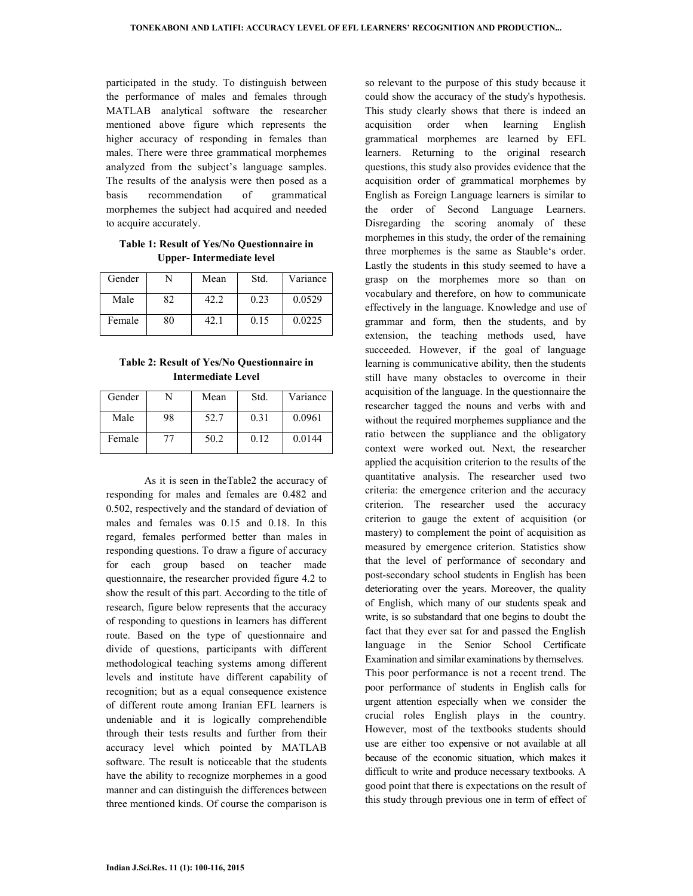participated in the study. To distinguish between the performance of males and females through MATLAB analytical software the researcher mentioned above figure which represents the higher accuracy of responding in females than males. There were three grammatical morphemes analyzed from the subject's language samples. The results of the analysis were then posed as a basis recommendation of grammatical morphemes the subject had acquired and needed to acquire accurately.

**Table 1: Result of Yes/No Questionnaire in Upper- Intermediate level** 

| Gender |    | Mean | Std. | Variance |
|--------|----|------|------|----------|
| Male   | 82 | 42.2 | 0.23 | 0.0529   |
| Female | 80 | 42.  | 0.15 | 0.0225   |

**Table 2: Result of Yes/No Questionnaire in Intermediate Level** 

| Gender |    | Mean | Std. | Variance |
|--------|----|------|------|----------|
| Male   | 98 | 52.7 | 0.31 | 0.0961   |
| Female | 77 | 50.2 | 0.12 | 0.0144   |

 As it is seen in theTable2 the accuracy of responding for males and females are 0.482 and 0.502, respectively and the standard of deviation of males and females was 0.15 and 0.18. In this regard, females performed better than males in responding questions. To draw a figure of accuracy for each group based on teacher made questionnaire, the researcher provided figure 4.2 to show the result of this part. According to the title of research, figure below represents that the accuracy of responding to questions in learners has different route. Based on the type of questionnaire and divide of questions, participants with different methodological teaching systems among different levels and institute have different capability of recognition; but as a equal consequence existence of different route among Iranian EFL learners is undeniable and it is logically comprehendible through their tests results and further from their accuracy level which pointed by MATLAB software. The result is noticeable that the students have the ability to recognize morphemes in a good manner and can distinguish the differences between three mentioned kinds. Of course the comparison is

so relevant to the purpose of this study because it could show the accuracy of the study's hypothesis. This study clearly shows that there is indeed an acquisition order when learning English grammatical morphemes are learned by EFL learners. Returning to the original research questions, this study also provides evidence that the acquisition order of grammatical morphemes by English as Foreign Language learners is similar to the order of Second Language Learners. Disregarding the scoring anomaly of these morphemes in this study, the order of the remaining three morphemes is the same as Stauble's order. Lastly the students in this study seemed to have a grasp on the morphemes more so than on vocabulary and therefore, on how to communicate effectively in the language. Knowledge and use of grammar and form, then the students, and by extension, the teaching methods used, have succeeded. However, if the goal of language learning is communicative ability, then the students still have many obstacles to overcome in their acquisition of the language. In the questionnaire the researcher tagged the nouns and verbs with and without the required morphemes suppliance and the ratio between the suppliance and the obligatory context were worked out. Next, the researcher applied the acquisition criterion to the results of the quantitative analysis. The researcher used two criteria: the emergence criterion and the accuracy criterion. The researcher used the accuracy criterion to gauge the extent of acquisition (or mastery) to complement the point of acquisition as measured by emergence criterion. Statistics show that the level of performance of secondary and post-secondary school students in English has been deteriorating over the years. Moreover, the quality of English, which many of our students speak and write, is so substandard that one begins to doubt the fact that they ever sat for and passed the English language in the Senior School Certificate Examination and similar examinations by themselves. This poor performance is not a recent trend. The poor performance of students in English calls for urgent attention especially when we consider the crucial roles English plays in the country. However, most of the textbooks students should use are either too expensive or not available at all because of the economic situation, which makes it difficult to write and produce necessary textbooks. A good point that there is expectations on the result of this study through previous one in term of effect of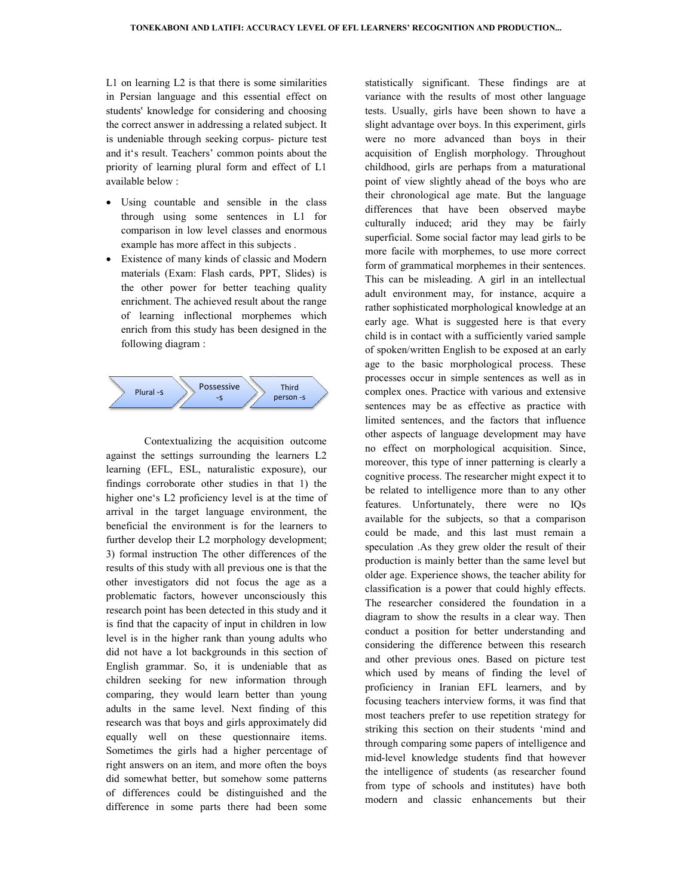L1 on learning L2 is that there is some similarities in Persian language and this essential effect on students' knowledge for considering and choosing the correct answer in addressing a related subject. It is undeniable through seeking corpusand it's result. Teachers' common points about the priority of learning plural form and effect of L1 available below : lents' knowledge for considering and choosing<br>correct answer in addressing a related subject. It<br>indeniable through seeking corpus- picture test

- Using countable and sensible in the class through using some sentences in L1 for comparison in low level classes and enormous example has more affect in this subjects riority of learning plural form and effect of L1<br>vailable below :<br>Using countable and sensible in the class<br>through using some sentences in L1 for<br>comparison in low level classes and enormous<br>example has more affect in thi
- Existence of many kinds of classic and Modern materials (Exam: Flash cards, PPT, Slides) is the other power for better teaching quality enrichment. The achieved result about the range of learning inflectional morphemes which enrich from this study has been designed in the following diagram : many kinds of classic and Modern<br>
xam: Flash cards, PPT, Slides) is<br>
ower for better teaching quality<br>
The achieved result about the range<br>
inflectional morphemes which<br>
this study has been designed in the<br>
agram :<br>
Posses



Contextualizing the acquisition outcome against the settings surrounding the learners L2 learning (EFL, ESL, naturalistic exposure), our findings corroborate other studies in that 1) the higher one's L2 proficiency level is at the time of arrival in the target language environment, the beneficial the environment is for the learners to further develop their L2 morphology development; 3) formal instruction The other differences of the results of this study with all previous one is that t other investigators did not focus the age as a problematic factors, however unconsciously this research point has been detected in this study and it is find that the capacity of input in children in low level is in the higher rank than young adults who did not have a lot backgrounds in this section of English grammar. So, it is undeniable that as children seeking for new information through comparing, they would learn better than young adults in the same level. Next finding of this research was that boys and girls approximately did equally well on these questionnaire items. Sometimes the girls had a higher percentage of right answers on an item, and more often the boys did somewhat better, but somehow some patterns of differences could be distinguished an difference in some parts there had been some target language environment, the<br>environment is for the learners to<br>their L2 morphology development;<br>action The other differences of the<br>udy with all previous one is that the is the capacity of input in children in low<br>the higher rank than young adults who<br>ave a lot backgrounds in this section of<br>grammar. So, it is undeniable that as<br>seeking for new information through<br>g, they would learn bette statistically significant. These findings are at variance with the results of most other language tests. Usually, girls have been shown to have a slight advantage over boys. In this experiment, girls were no more advanced than boys in their acquisition of English morphology. Throughout childhood, girls are perhaps from a maturational point of view slightly ahead of the boys who are their chronological age mate. But the language differences that have been observed maybe culturally induced; arid they may be fairly superficial. Some social factor may lead girls to be more facile with morphemes, to use more correct form of grammatical morphemes in their sentences. superficial. Some social factor may lead girls to be<br>more facile with morphemes, to use more correct<br>form of grammatical morphemes in their sentences.<br>This can be misleading. A girl in an intellectual adult environment may, for instance, acquire a rather sophisticated morphological knowledge at an early age. What is suggested here is that every child is in contact with a sufficiently varied sample of spoken/written English to be exposed at an early age to the basic morphological process. These processes occur in simple sentences as well as in complex ones. Practice with various and extensive sentences may be as effective as practice with limited sentences, and the factors that influence other aspects of language development may have no effect on morphological acquisition. Since, moreover, this type of inner patterning is clearly a cognitive process. The researcher might expect it to be related to intelligence more than to any other features. Unfortunately, there were no IQs available for the subjects, so that a comparison could be made, and this last must remain a speculation .As they grew older the result of their production is mainly better than the same level but older age. Experience shows, the teach classification is a power that could highly effects. The researcher considered the foundation in a diagram to show the results in a clear way. Then conduct a position for better understanding and considering the difference between this resea and other previous ones. Based on picture test which used by means of finding the level of proficiency in Iranian EFL learners, and by focusing teachers interview forms, it was find that most teachers prefer to use repetition strategy for striking this section on their students 'mind and through comparing some papers of intelligence and mid-level knowledge students find that however the intelligence of students (as researcher found from type of schools and institutes) have both modern and classic enhancements but their significant. These findings are at<br>
1 the results of most other language<br>  $y$ , girls have been shown to have a<br>
1 ge over boys. In this experiment, girls<br>
ore advanced than boys in their<br>
ore advanced than boys in their<br> e to the basic morphological process. These<br>ocesses occur in simple sentences as well as in<br>mplex ones. Practice with various and extensive<br>ntences may be as effective as practice with<br>inited sentences, and the factors tha I power that could highly effects.<br>
considered the foundation in a<br>
the results in a clear way. Then<br>
on for better understanding and<br>
difference between this research and other previous ones. Based on<br>which used by means of finding th<br>proficiency in Iranian EFL learner<br>focusing teachers interview forms, it w<br>most teachers prefer to use repetition<br>striking this section on their students<br>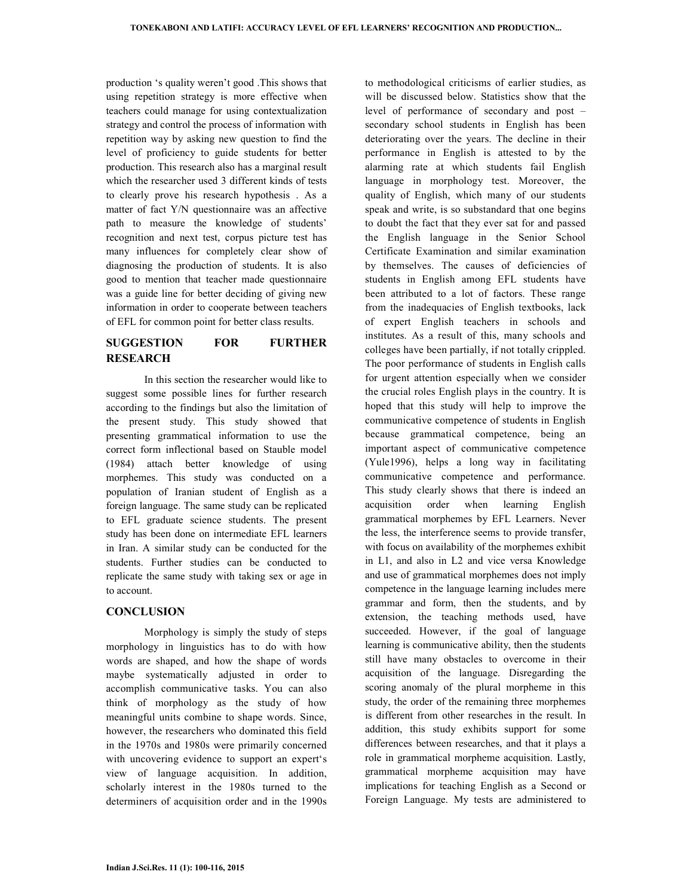production 's quality weren't good .This shows that using repetition strategy is more effective when teachers could manage for using contextualization strategy and control the process of information with repetition way by asking new question to find the level of proficiency to guide students for better production. This research also has a marginal result which the researcher used 3 different kinds of tests to clearly prove his research hypothesis . As a matter of fact Y/N questionnaire was an affective path to measure the knowledge of students' recognition and next test, corpus picture test has many influences for completely clear show of diagnosing the production of students. It is also good to mention that teacher made questionnaire was a guide line for better deciding of giving new information in order to cooperate between teachers of EFL for common point for better class results.

# **SUGGESTION FOR FURTHER RESEARCH**

 In this section the researcher would like to suggest some possible lines for further research according to the findings but also the limitation of the present study. This study showed that presenting grammatical information to use the correct form inflectional based on Stauble model (1984) attach better knowledge of using morphemes. This study was conducted on a population of Iranian student of English as a foreign language. The same study can be replicated to EFL graduate science students. The present study has been done on intermediate EFL learners in Iran. A similar study can be conducted for the students. Further studies can be conducted to replicate the same study with taking sex or age in to account.

## **CONCLUSION**

 Morphology is simply the study of steps morphology in linguistics has to do with how words are shaped, and how the shape of words maybe systematically adjusted in order to accomplish communicative tasks. You can also think of morphology as the study of how meaningful units combine to shape words. Since, however, the researchers who dominated this field in the 1970s and 1980s were primarily concerned with uncovering evidence to support an expert's view of language acquisition. In addition, scholarly interest in the 1980s turned to the determiners of acquisition order and in the 1990s

to methodological criticisms of earlier studies, as will be discussed below. Statistics show that the level of performance of secondary and post – secondary school students in English has been deteriorating over the years. The decline in their performance in English is attested to by the alarming rate at which students fail English language in morphology test. Moreover, the quality of English, which many of our students speak and write, is so substandard that one begins to doubt the fact that they ever sat for and passed the English language in the Senior School Certificate Examination and similar examination by themselves. The causes of deficiencies of students in English among EFL students have been attributed to a lot of factors. These range from the inadequacies of English textbooks, lack of expert English teachers in schools and institutes. As a result of this, many schools and colleges have been partially, if not totally crippled. The poor performance of students in English calls for urgent attention especially when we consider the crucial roles English plays in the country. It is hoped that this study will help to improve the communicative competence of students in English because grammatical competence, being an important aspect of communicative competence (Yule1996), helps a long way in facilitating communicative competence and performance. This study clearly shows that there is indeed an acquisition order when learning English grammatical morphemes by EFL Learners. Never the less, the interference seems to provide transfer, with focus on availability of the morphemes exhibit in L1, and also in L2 and vice versa Knowledge and use of grammatical morphemes does not imply competence in the language learning includes mere grammar and form, then the students, and by extension, the teaching methods used, have succeeded. However, if the goal of language learning is communicative ability, then the students still have many obstacles to overcome in their acquisition of the language. Disregarding the scoring anomaly of the plural morpheme in this study, the order of the remaining three morphemes is different from other researches in the result. In addition, this study exhibits support for some differences between researches, and that it plays a role in grammatical morpheme acquisition. Lastly, grammatical morpheme acquisition may have implications for teaching English as a Second or Foreign Language. My tests are administered to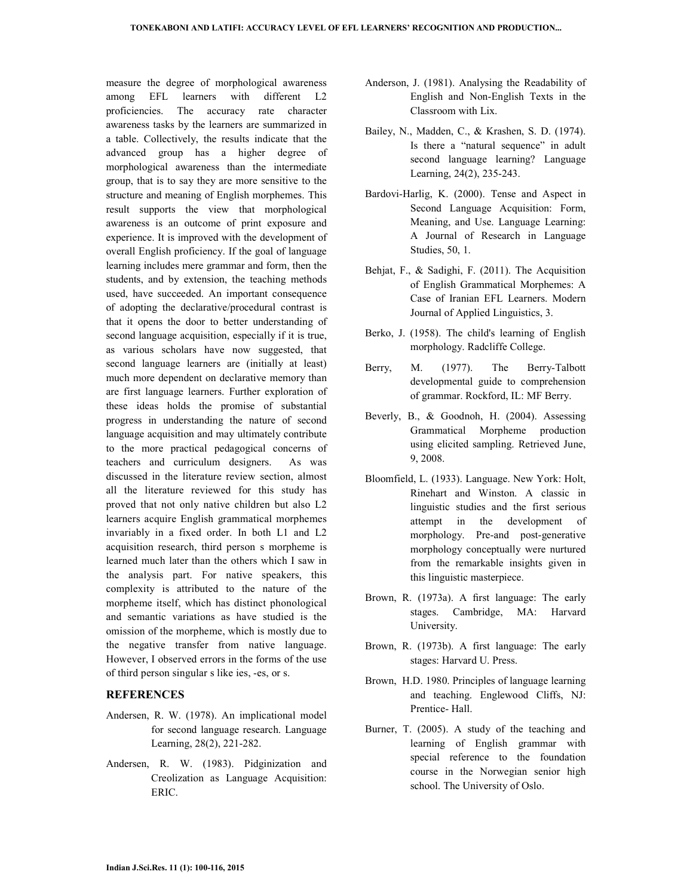measure the degree of morphological awareness among EFL learners with different L2 proficiencies. The accuracy rate character awareness tasks by the learners are summarized in a table. Collectively, the results indicate that the advanced group has a higher degree of morphological awareness than the intermediate group, that is to say they are more sensitive to the structure and meaning of English morphemes. This result supports the view that morphological awareness is an outcome of print exposure and experience. It is improved with the development of overall English proficiency. If the goal of language learning includes mere grammar and form, then the students, and by extension, the teaching methods used, have succeeded. An important consequence of adopting the declarative/procedural contrast is that it opens the door to better understanding of second language acquisition, especially if it is true, as various scholars have now suggested, that second language learners are (initially at least) much more dependent on declarative memory than are first language learners. Further exploration of these ideas holds the promise of substantial progress in understanding the nature of second language acquisition and may ultimately contribute to the more practical pedagogical concerns of teachers and curriculum designers. As was discussed in the literature review section, almost all the literature reviewed for this study has proved that not only native children but also L2 learners acquire English grammatical morphemes invariably in a fixed order. In both L1 and L2 acquisition research, third person s morpheme is learned much later than the others which I saw in the analysis part. For native speakers, this complexity is attributed to the nature of the morpheme itself, which has distinct phonological and semantic variations as have studied is the omission of the morpheme, which is mostly due to the negative transfer from native language. However, I observed errors in the forms of the use of third person singular s like ies, -es, or s.

## **REFERENCES**

- Andersen, R. W. (1978). An implicational model for second language research. Language Learning, 28(2), 221-282.
- Andersen, R. W. (1983). Pidginization and Creolization as Language Acquisition: ERIC.
- Anderson, J. (1981). Analysing the Readability of English and Non-English Texts in the Classroom with Lix.
- Bailey, N., Madden, C., & Krashen, S. D. (1974). Is there a "natural sequence" in adult second language learning? Language Learning, 24(2), 235-243.
- Bardovi-Harlig, K. (2000). Tense and Aspect in Second Language Acquisition: Form, Meaning, and Use. Language Learning: A Journal of Research in Language Studies, 50, 1.
- Behjat, F., & Sadighi, F. (2011). The Acquisition of English Grammatical Morphemes: A Case of Iranian EFL Learners. Modern Journal of Applied Linguistics, 3.
- Berko, J. (1958). The child's learning of English morphology. Radcliffe College.
- Berry, M. (1977). The Berry-Talbott developmental guide to comprehension of grammar. Rockford, IL: MF Berry.
- Beverly, B., & Goodnoh, H. (2004). Assessing Grammatical Morpheme production using elicited sampling. Retrieved June, 9, 2008.
- Bloomfield, L. (1933). Language. New York: Holt, Rinehart and Winston. A classic in linguistic studies and the first serious attempt in the development of morphology. Pre-and post-generative morphology conceptually were nurtured from the remarkable insights given in this linguistic masterpiece.
- Brown, R. (1973a). A first language: The early stages. Cambridge, MA: Harvard University.
- Brown, R. (1973b). A first language: The early stages: Harvard U. Press.
- Brown, H.D. 1980. Principles of language learning and teaching. Englewood Cliffs, NJ: Prentice- Hall.
- Burner, T. (2005). A study of the teaching and learning of English grammar with special reference to the foundation course in the Norwegian senior high school. The University of Oslo.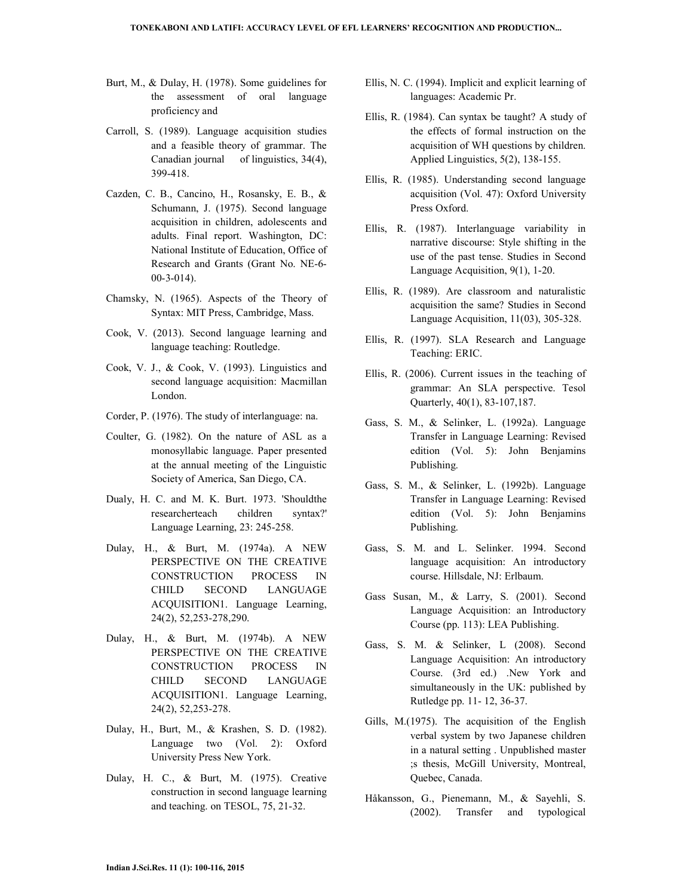- Burt, M., & Dulay, H. (1978). Some guidelines for the assessment of oral language proficiency and
- Carroll, S. (1989). Language acquisition studies and a feasible theory of grammar. The Canadian journal of linguistics, 34(4), 399-418.
- Cazden, C. B., Cancino, H., Rosansky, E. B., & Schumann, J. (1975). Second language acquisition in children, adolescents and adults. Final report. Washington, DC: National Institute of Education, Office of Research and Grants (Grant No. NE-6- 00-3-014).
- Chamsky, N. (1965). Aspects of the Theory of Syntax: MIT Press, Cambridge, Mass.
- Cook, V. (2013). Second language learning and language teaching: Routledge.
- Cook, V. J., & Cook, V. (1993). Linguistics and second language acquisition: Macmillan London.
- Corder, P. (1976). The study of interlanguage: na.
- Coulter, G. (1982). On the nature of ASL as a monosyllabic language. Paper presented at the annual meeting of the Linguistic Society of America, San Diego, CA.
- Dualy, H. C. and M. K. Burt. 1973. 'Shouldthe researcherteach children syntax?' Language Learning, 23: 245-258.
- Dulay, H., & Burt, M. (1974a). A NEW PERSPECTIVE ON THE CREATIVE CONSTRUCTION PROCESS IN CHILD SECOND LANGUAGE ACQUISITION1. Language Learning, 24(2), 52,253-278,290.
- Dulay, H., & Burt, M. (1974b). A NEW PERSPECTIVE ON THE CREATIVE CONSTRUCTION PROCESS IN CHILD SECOND LANGUAGE ACQUISITION1. Language Learning, 24(2), 52,253-278.
- Dulay, H., Burt, M., & Krashen, S. D. (1982). Language two (Vol. 2): Oxford University Press New York.
- Dulay, H. C., & Burt, M. (1975). Creative construction in second language learning and teaching. on TESOL, 75, 21-32.
- Ellis, N. C. (1994). Implicit and explicit learning of languages: Academic Pr.
- Ellis, R. (1984). Can syntax be taught? A study of the effects of formal instruction on the acquisition of WH questions by children. Applied Linguistics, 5(2), 138-155.
- Ellis, R. (1985). Understanding second language acquisition (Vol. 47): Oxford University Press Oxford.
- Ellis, R. (1987). Interlanguage variability in narrative discourse: Style shifting in the use of the past tense. Studies in Second Language Acquisition, 9(1), 1-20.
- Ellis, R. (1989). Are classroom and naturalistic acquisition the same? Studies in Second Language Acquisition, 11(03), 305-328.
- Ellis, R. (1997). SLA Research and Language Teaching: ERIC.
- Ellis, R. (2006). Current issues in the teaching of grammar: An SLA perspective. Tesol Quarterly, 40(1), 83-107,187.
- Gass, S. M., & Selinker, L. (1992a). Language Transfer in Language Learning: Revised edition (Vol. 5): John Benjamins Publishing.
- Gass, S. M., & Selinker, L. (1992b). Language Transfer in Language Learning: Revised edition (Vol. 5): John Benjamins Publishing.
- Gass, S. M. and L. Selinker. 1994. Second language acquisition: An introductory course. Hillsdale, NJ: Erlbaum.
- Gass Susan, M., & Larry, S. (2001). Second Language Acquisition: an Introductory Course (pp. 113): LEA Publishing.
- Gass, S. M. & Selinker, L (2008). Second Language Acquisition: An introductory Course. (3rd ed.) .New York and simultaneously in the UK: published by Rutledge pp. 11- 12, 36-37.
- Gills, M.(1975). The acquisition of the English verbal system by two Japanese children in a natural setting . Unpublished master ;s thesis, McGill University, Montreal, Quebec, Canada.
- Håkansson, G., Pienemann, M., & Sayehli, S. (2002). Transfer and typological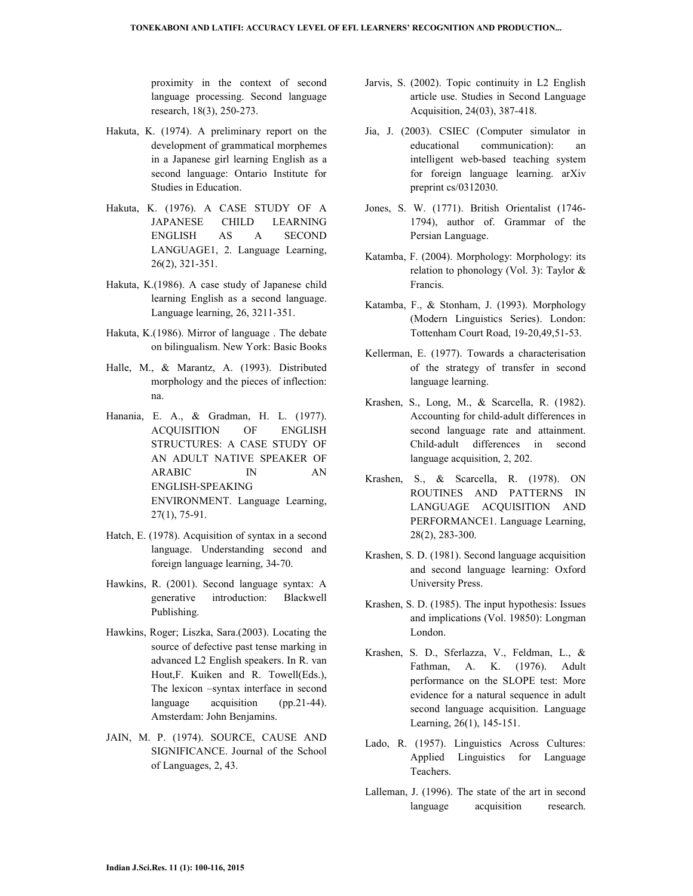proximity in the context of second language processing. Second language research, 18(3), 250-273.

- Hakuta, K. (1974). A preliminary report on the development of grammatical morphemes in a Japanese girl learning English as a second language: Ontario Institute for Studies in Education.
- Hakuta, K. (1976). A CASE STUDY OF A JAPANESE CHILD LEARNING ENGLISH AS A SECOND LANGUAGE1, 2. Language Learning, 26(2), 321-351.
- Hakuta, K.(1986). A case study of Japanese child learning English as a second language. Language learning, 26, 3211-351.
- Hakuta, K.(1986). Mirror of language . The debate on bilingualism. New York: Basic Books
- Halle, M., & Marantz, A. (1993). Distributed morphology and the pieces of inflection: na.
- Hanania, E. A., & Gradman, H. L. (1977). ACQUISITION OF ENGLISH STRUCTURES: A CASE STUDY OF AN ADULT NATIVE SPEAKER OF ARABIC IN AN ENGLISH‐SPEAKING ENVIRONMENT. Language Learning, 27(1), 75-91.
- Hatch, E. (1978). Acquisition of syntax in a second language. Understanding second and foreign language learning, 34-70.
- Hawkins, R. (2001). Second language syntax: A generative introduction: Blackwell Publishing.
- Hawkins, Roger; Liszka, Sara.(2003). Locating the source of defective past tense marking in advanced L2 English speakers. In R. van Hout,F. Kuiken and R. Towell(Eds.), The lexicon –syntax interface in second language acquisition (pp.21-44). Amsterdam: John Benjamins.
- JAIN, M. P. (1974). SOURCE, CAUSE AND SIGNIFICANCE. Journal of the School of Languages, 2, 43.
- Jarvis, S. (2002). Topic continuity in L2 English article use. Studies in Second Language Acquisition, 24(03), 387-418.
- Jia, J. (2003). CSIEC (Computer simulator in educational communication): an intelligent web-based teaching system for foreign language learning. arXiv preprint cs/0312030.
- Jones, S. W. (1771). British Orientalist (1746- 1794), author of. Grammar of the Persian Language.
- Katamba, F. (2004). Morphology: Morphology: its relation to phonology (Vol. 3): Taylor & Francis.
- Katamba, F., & Stonham, J. (1993). Morphology (Modern Linguistics Series). London: Tottenham Court Road, 19-20,49,51-53.
- Kellerman, E. (1977). Towards a characterisation of the strategy of transfer in second language learning.
- Krashen, S., Long, M., & Scarcella, R. (1982). Accounting for child-adult differences in second language rate and attainment. Child-adult differences in second language acquisition, 2, 202.
- Krashen, S., & Scarcella, R. (1978). ON ROUTINES AND PATTERNS IN LANGUAGE ACQUISITION AND PERFORMANCE1. Language Learning, 28(2), 283-300.
- Krashen, S. D. (1981). Second language acquisition and second language learning: Oxford University Press.
- Krashen, S. D. (1985). The input hypothesis: Issues and implications (Vol. 19850): Longman London.
- Krashen, S. D., Sferlazza, V., Feldman, L., & Fathman, A. K. (1976). Adult performance on the SLOPE test: More evidence for a natural sequence in adult second language acquisition. Language Learning, 26(1), 145-151.
- Lado, R. (1957). Linguistics Across Cultures: Applied Linguistics for Language Teachers.
- Lalleman, J. (1996). The state of the art in second language acquisition research.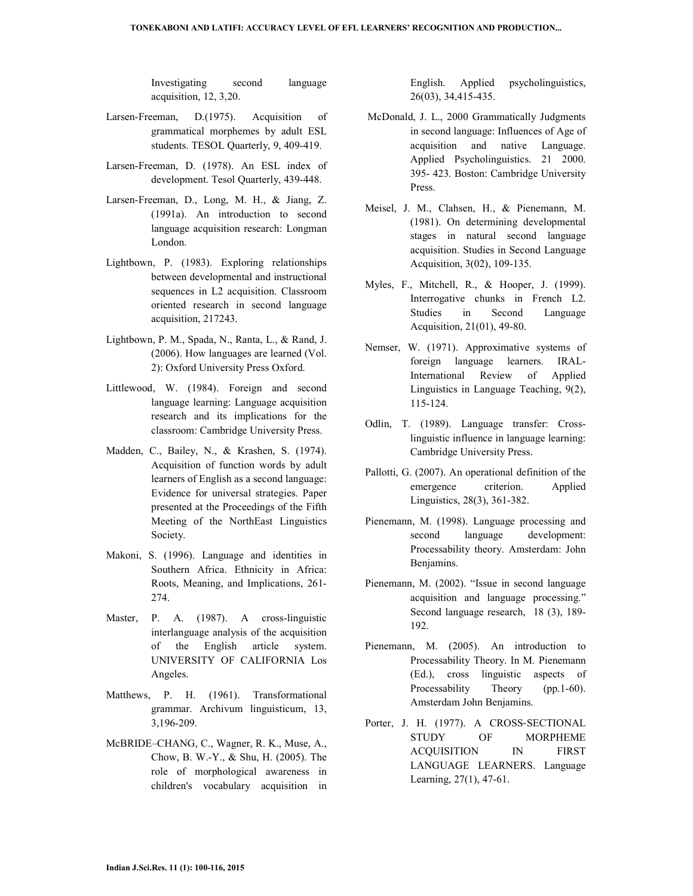Investigating second language acquisition, 12, 3,20.

- Larsen-Freeman, D.(1975). Acquisition of grammatical morphemes by adult ESL students. TESOL Quarterly, 9, 409-419.
- Larsen-Freeman, D. (1978). An ESL index of development. Tesol Quarterly, 439-448.
- Larsen-Freeman, D., Long, M. H., & Jiang, Z. (1991a). An introduction to second language acquisition research: Longman London.
- Lightbown, P. (1983). Exploring relationships between developmental and instructional sequences in L2 acquisition. Classroom oriented research in second language acquisition, 217243.
- Lightbown, P. M., Spada, N., Ranta, L., & Rand, J. (2006). How languages are learned (Vol. 2): Oxford University Press Oxford.
- Littlewood, W. (1984). Foreign and second language learning: Language acquisition research and its implications for the classroom: Cambridge University Press.
- Madden, C., Bailey, N., & Krashen, S. (1974). Acquisition of function words by adult learners of English as a second language: Evidence for universal strategies. Paper presented at the Proceedings of the Fifth Meeting of the NorthEast Linguistics Society.
- Makoni, S. (1996). Language and identities in Southern Africa. Ethnicity in Africa: Roots, Meaning, and Implications, 261- 274.
- Master, P. A. (1987). A cross-linguistic interlanguage analysis of the acquisition of the English article system. UNIVERSITY OF CALIFORNIA Los Angeles.
- Matthews, P. H. (1961). Transformational grammar. Archivum linguisticum, 13, 3,196-209.
- McBRIDE–CHANG, C., Wagner, R. K., Muse, A., Chow, B. W.-Y., & Shu, H. (2005). The role of morphological awareness in children's vocabulary acquisition in

English. Applied psycholinguistics, 26(03), 34,415-435.

- McDonald, J. L., 2000 Grammatically Judgments in second language: Influences of Age of acquisition and native Language. Applied Psycholinguistics. 21 2000. 395- 423. Boston: Cambridge University Press.
- Meisel, J. M., Clahsen, H., & Pienemann, M. (1981). On determining developmental stages in natural second language acquisition. Studies in Second Language Acquisition, 3(02), 109-135.
- Myles, F., Mitchell, R., & Hooper, J. (1999). Interrogative chunks in French L2. Studies in Second Language Acquisition, 21(01), 49-80.
- Nemser, W. (1971). Approximative systems of foreign language learners. IRAL-International Review of Applied Linguistics in Language Teaching, 9(2), 115-124.
- Odlin, T. (1989). Language transfer: Crosslinguistic influence in language learning: Cambridge University Press.
- Pallotti, G. (2007). An operational definition of the emergence criterion. Applied Linguistics, 28(3), 361-382.
- Pienemann, M. (1998). Language processing and second language development: Processability theory. Amsterdam: John Benjamins.
- Pienemann, M. (2002). "Issue in second language acquisition and language processing." Second language research, 18 (3), 189- 192.
- Pienemann, M. (2005). An introduction to Processability Theory. In M. Pienemann (Ed.), cross linguistic aspects of Processability Theory (pp. 1-60). Amsterdam John Benjamins.
- Porter, J. H. (1977). A CROSS‐SECTIONAL STUDY OF MORPHEME ACQUISITION IN FIRST LANGUAGE LEARNERS. Language Learning, 27(1), 47-61.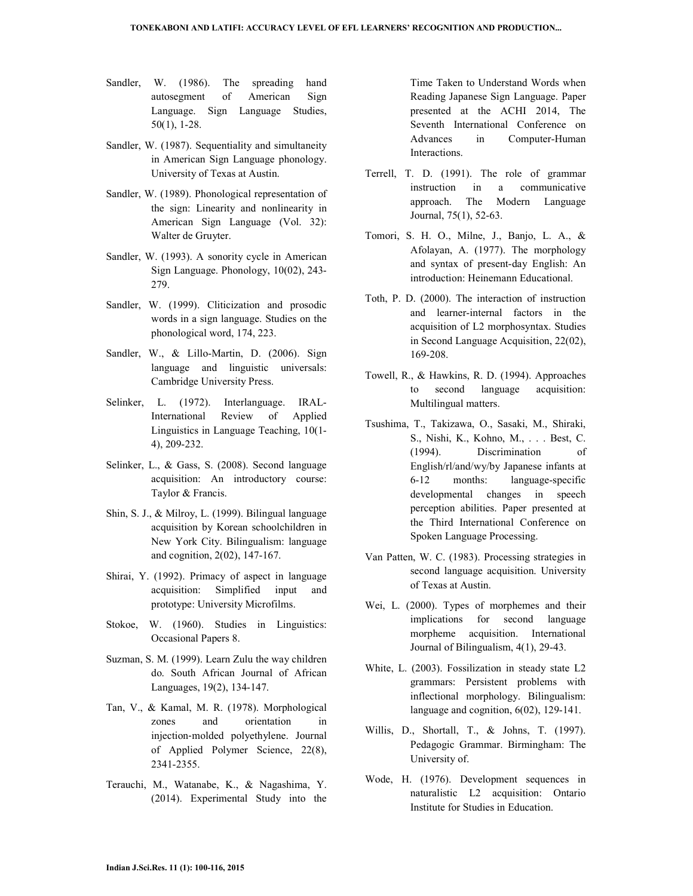- Sandler, W. (1986). The spreading hand autosegment of American Sign Language. Sign Language Studies, 50(1), 1-28.
- Sandler, W. (1987). Sequentiality and simultaneity in American Sign Language phonology. University of Texas at Austin.
- Sandler, W. (1989). Phonological representation of the sign: Linearity and nonlinearity in American Sign Language (Vol. 32): Walter de Gruyter.
- Sandler, W. (1993). A sonority cycle in American Sign Language. Phonology, 10(02), 243- 279.
- Sandler, W. (1999). Cliticization and prosodic words in a sign language. Studies on the phonological word, 174, 223.
- Sandler, W., & Lillo-Martin, D. (2006). Sign language and linguistic universals: Cambridge University Press.
- Selinker, L. (1972). Interlanguage. IRAL-International Review of Applied Linguistics in Language Teaching, 10(1- 4), 209-232.
- Selinker, L., & Gass, S. (2008). Second language acquisition: An introductory course: Taylor & Francis.
- Shin, S. J., & Milroy, L. (1999). Bilingual language acquisition by Korean schoolchildren in New York City. Bilingualism: language and cognition, 2(02), 147-167.
- Shirai, Y. (1992). Primacy of aspect in language acquisition: Simplified input and prototype: University Microfilms.
- Stokoe, W. (1960). Studies in Linguistics: Occasional Papers 8.
- Suzman, S. M. (1999). Learn Zulu the way children do. South African Journal of African Languages, 19(2), 134-147.
- Tan, V., & Kamal, M. R. (1978). Morphological zones and orientation in injection‐molded polyethylene. Journal of Applied Polymer Science, 22(8), 2341-2355.
- Terauchi, M., Watanabe, K., & Nagashima, Y. (2014). Experimental Study into the

Time Taken to Understand Words when Reading Japanese Sign Language. Paper presented at the ACHI 2014, The Seventh International Conference on Advances in Computer-Human Interactions.

- Terrell, T. D. (1991). The role of grammar instruction in a communicative approach. The Modern Language Journal, 75(1), 52-63.
- Tomori, S. H. O., Milne, J., Banjo, L. A., & Afolayan, A. (1977). The morphology and syntax of present-day English: An introduction: Heinemann Educational.
- Toth, P. D. (2000). The interaction of instruction and learner-internal factors in the acquisition of L2 morphosyntax. Studies in Second Language Acquisition, 22(02), 169-208.
- Towell, R., & Hawkins, R. D. (1994). Approaches to second language acquisition: Multilingual matters.
- Tsushima, T., Takizawa, O., Sasaki, M., Shiraki, S., Nishi, K., Kohno, M., . . . Best, C. (1994). Discrimination of English/rl/and/wy/by Japanese infants at 6-12 months: language-specific developmental changes in speech perception abilities. Paper presented at the Third International Conference on Spoken Language Processing.
- Van Patten, W. C. (1983). Processing strategies in second language acquisition. University of Texas at Austin.
- Wei, L. (2000). Types of morphemes and their implications for second language morpheme acquisition. International Journal of Bilingualism, 4(1), 29-43.
- White, L. (2003). Fossilization in steady state L2 grammars: Persistent problems with inflectional morphology. Bilingualism: language and cognition, 6(02), 129-141.
- Willis, D., Shortall, T., & Johns, T. (1997). Pedagogic Grammar. Birmingham: The University of.
- Wode, H. (1976). Development sequences in naturalistic L2 acquisition: Ontario Institute for Studies in Education.